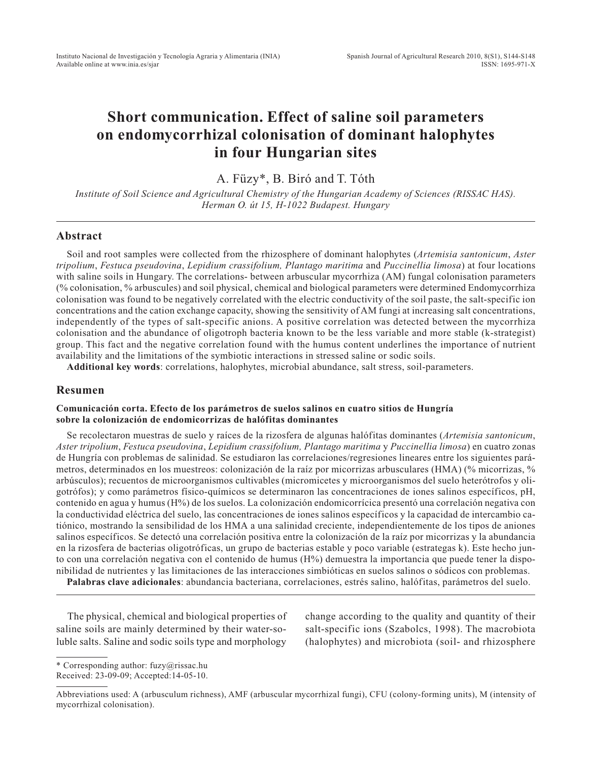# **Short communication. Effect of saline soil parameters on endomycorrhizal colonisation of dominant halophytes in four Hungarian sites**

A. Füzy\*, B. Biró and T. Tóth

*Institute of Soil Science and Agricultural Chemistry of the Hungarian Academy of Sciences (RISSAC HAS). Herman O. út 15, H-1022 Budapest. Hungary*

### **Abstract**

Soil and root samples were collected from the rhizosphere of dominant halophytes (*Artemisia santonicum*, *Aster tripolium*, *Festuca pseudovina*, *Lepidium crassifolium, Plantago maritima* and *Puccinellia limosa*) at four locations with saline soils in Hungary. The correlations- between arbuscular mycorrhiza (AM) fungal colonisation parameters (% colonisation, % arbuscules) and soil physical, chemical and biological parameters were determined Endomycorrhiza colonisation was found to be negatively correlated with the electric conductivity of the soil paste, the salt-specific ion concentrations and the cation exchange capacity, showing the sensitivity of AM fungi at increasing salt concentrations, independently of the types of salt-specific anions. A positive correlation was detected between the mycorrhiza colonisation and the abundance of oligotroph bacteria known to be the less variable and more stable (k-strategist) group. This fact and the negative correlation found with the humus content underlines the importance of nutrient availability and the limitations of the symbiotic interactions in stressed saline or sodic soils.

**Additional key words**: correlations, halophytes, microbial abundance, salt stress, soil-parameters.

### **Resumen**

#### **Comunicación corta. Efecto de los parámetros de suelos salinos en cuatro sitios de Hungría sobre la colonización de endomicorrizas de halófitas dominantes**

Se recolectaron muestras de suelo y raíces de la rizosfera de algunas halófitas dominantes (*Artemisia santonicum*, *Aster tripolium*, *Festuca pseudovina*, *Lepidium crassifolium, Plantago maritima* y *Puccinellia limosa*) en cuatro zonas de Hungría con problemas de salinidad. Se estudiaron las correlaciones/regresiones lineares entre los siguientes parámetros, determinados en los muestreos: colonización de la raíz por micorrizas arbusculares (HMA) (% micorrizas, % arbúsculos); recuentos de microorganismos cultivables (micromicetes y microorganismos del suelo heterótrofos y oligotrófos); y como parámetros físico-químicos se determinaron las concentraciones de iones salinos específicos, pH, contenido en agua y humus (H%) de los suelos. La colonización endomicorrícica presentó una correlación negativa con la conductividad eléctrica del suelo, las concentraciones de iones salinos específicos y la capacidad de intercambio catiónico, mostrando la sensibilidad de los HMA a una salinidad creciente, independientemente de los tipos de aniones salinos específicos. Se detectó una correlación positiva entre la colonización de la raíz por micorrizas y la abundancia en la rizosfera de bacterias oligotróficas, un grupo de bacterias estable y poco variable (estrategas k). Este hecho junto con una correlación negativa con el contenido de humus (H%) demuestra la importancia que puede tener la disponibilidad de nutrientes y las limitaciones de las interacciones simbióticas en suelos salinos o sódicos con problemas.

**Palabras clave adicionales**: abundancia bacteriana, correlaciones, estrés salino, halófitas, parámetros del suelo.

The physical, chemical and biological properties of saline soils are mainly determined by their water-soluble salts. Saline and sodic soils type and morphology change according to the quality and quantity of their salt-specific ions (Szabolcs, 1998). The macrobiota (halophytes) and microbiota (soil- and rhizosphere

<sup>\*</sup> Corresponding author: fuzy@rissac.hu Received: 23-09-09; Accepted:14-05-10.

Abbreviations used: A (arbusculum richness), AMF (arbuscular mycorrhizal fungi), CFU (colony-forming units), M (intensity of mycorrhizal colonisation).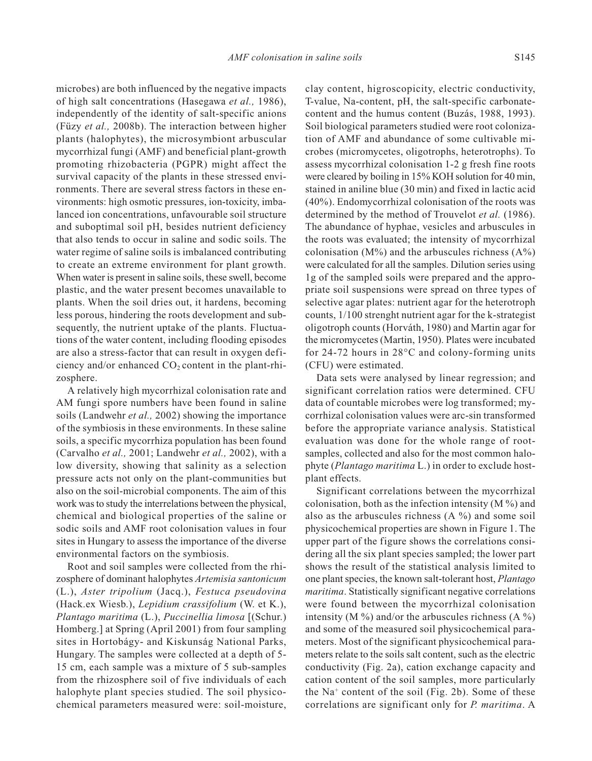microbes) are both influenced by the negative impacts of high salt concentrations (Hasegawa *et al.,* 1986), clay content, higroscopicity, electric conductivity,

independently of the identity of salt-specific anions (Füzy *et al.,* 2008b). The interaction between higher plants (halophytes), the microsymbiont arbuscular mycorrhizal fungi (AMF) and beneficial plant-growth promoting rhizobacteria (PGPR) might affect the survival capacity of the plants in these stressed environments. There are several stress factors in these environments: high osmotic pressures, ion-toxicity, imbalanced ion concentrations, unfavourable soil structure and suboptimal soil pH, besides nutrient deficiency that also tends to occur in saline and sodic soils. The water regime of saline soils is imbalanced contributing to create an extreme environment for plant growth. When water is present in saline soils, these swell, become plastic, and the water present becomes unavailable to plants. When the soil dries out, it hardens, becoming less porous, hindering the roots development and subsequently, the nutrient uptake of the plants. Fluctuations of the water content, including flooding episodes are also a stress-factor that can result in oxygen deficiency and/or enhanced  $CO<sub>2</sub>$  content in the plant-rhizosphere.

A relatively high mycorrhizal colonisation rate and AM fungi spore numbers have been found in saline soils (Landwehr *et al.,* 2002) showing the importance of the symbiosis in these environments. In these saline soils, a specific mycorrhiza population has been found (Carvalho *et al.,* 2001; Landwehr *et al.,* 2002), with a low diversity, showing that salinity as a selection pressure acts not only on the plant-communities but also on the soil-microbial components. The aim of this work was to study the interrelations between the physical, chemical and biological properties of the saline or sodic soils and AMF root colonisation values in four sites in Hungary to assess the importance of the diverse environmental factors on the symbiosis.

Root and soil samples were collected from the rhizosphere of dominant halophytes *Artemisia santonicum* (L.), *Aster tripolium* (Jacq.), *Festuca pseudovina* (Hack.ex Wiesb.), *Lepidium crassifolium* (W. et K.), *Plantago maritima* (L.), *Puccinellia limosa* [(Schur.) Homberg.] at Spring (April 2001) from four sampling sites in Hortobágy- and Kiskunság National Parks, Hungary. The samples were collected at a depth of 5- 15 cm, each sample was a mixture of 5 sub-samples from the rhizosphere soil of five individuals of each halophyte plant species studied. The soil physicochemical parameters measured were: soil-moisture, T-value, Na-content, pH, the salt-specific carbonatecontent and the humus content (Buzás, 1988, 1993). Soil biological parameters studied were root colonization of AMF and abundance of some cultivable microbes (micromycetes, oligotrophs, heterotrophs). To assess mycorrhizal colonisation 1-2 g fresh fine roots were cleared by boiling in 15% KOH solution for 40 min, stained in aniline blue (30 min) and fixed in lactic acid (40%). Endomycorrhizal colonisation of the roots was determined by the method of Trouvelot *et al.* (1986). The abundance of hyphae, vesicles and arbuscules in the roots was evaluated; the intensity of mycorrhizal colonisation  $(M\%)$  and the arbuscules richness  $(A\%)$ were calculated for all the samples. Dilution series using 1g of the sampled soils were prepared and the appropriate soil suspensions were spread on three types of selective agar plates: nutrient agar for the heterotroph counts, 1/100 strenght nutrient agar for the k-strategist oligotroph counts (Horváth, 1980) and Martin agar for the micromycetes (Martin, 1950). Plates were incubated for 24-72 hours in 28°C and colony-forming units (CFU) were estimated.

Data sets were analysed by linear regression; and significant correlation ratios were determined. CFU data of countable microbes were log transformed; mycorrhizal colonisation values were arc-sin transformed before the appropriate variance analysis. Statistical evaluation was done for the whole range of rootsamples, collected and also for the most common halophyte (*Plantago maritima* L.) in order to exclude hostplant effects.

Significant correlations between the mycorrhizal colonisation, both as the infection intensity (M %) and also as the arbuscules richness (A %) and some soil physicochemical properties are shown in Figure 1. The upper part of the figure shows the correlations considering all the six plant species sampled; the lower part shows the result of the statistical analysis limited to one plant species, the known salt-tolerant host, *Plantago maritima*. Statistically significant negative correlations were found between the mycorrhizal colonisation intensity (M %) and/or the arbuscules richness (A %) and some of the measured soil physicochemical parameters. Most of the significant physicochemical parameters relate to the soils salt content, such as the electric conductivity (Fig. 2a), cation exchange capacity and cation content of the soil samples, more particularly the  $Na<sup>+</sup>$  content of the soil (Fig. 2b). Some of these correlations are significant only for *P. maritima*. A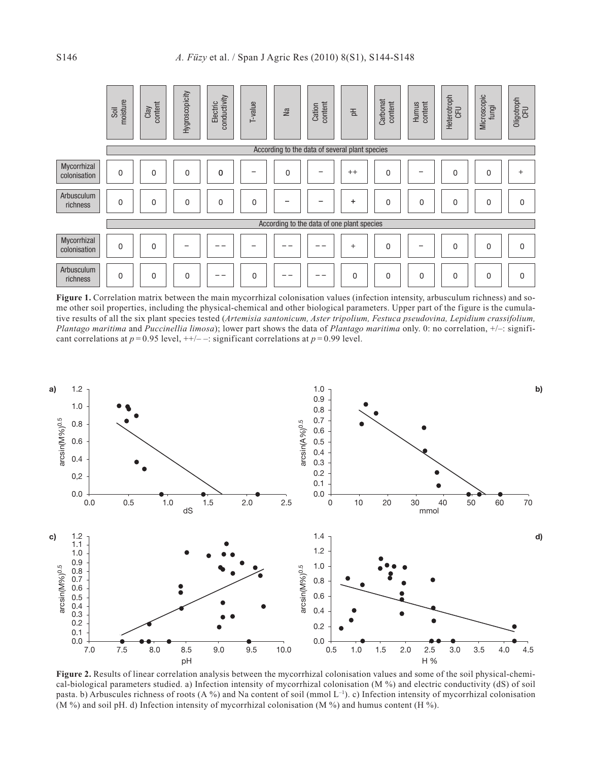|                             | moisture<br>Soil                               | content<br>Clay | Hygroscopicity | conductivity<br>Electric | T-value  | <b>Na</b>   | content<br>Cation | 苦           | Carbonat<br>content | content<br>Humus | Heterotroph<br>CFU | Microscopic<br>fungi | Oligotroph<br>CFU |
|-----------------------------|------------------------------------------------|-----------------|----------------|--------------------------|----------|-------------|-------------------|-------------|---------------------|------------------|--------------------|----------------------|-------------------|
|                             | According to the data of several plant species |                 |                |                          |          |             |                   |             |                     |                  |                    |                      |                   |
| Mycorrhizal<br>colonisation | $\mathbf 0$                                    | $\mathbf{0}$    | 0              | $\mathbf 0$              |          | $\mathbf 0$ |                   | $++$        | 0                   |                  | 0                  | 0                    | $+$               |
| Arbusculum<br>richness      | $\mathbf 0$                                    | $\Omega$        | $\Omega$       | $\Omega$                 | 0        |             |                   | $\ddot{}$   | 0                   | 0                | 0                  | $\Omega$             | $\Omega$          |
|                             | According to the data of one plant species     |                 |                |                          |          |             |                   |             |                     |                  |                    |                      |                   |
| Mycorrhizal<br>colonisation | 0                                              | $\mathbf{0}$    |                |                          |          |             |                   | $\ddot{}$   | 0                   | -                | 0                  | $\Omega$             | $\Omega$          |
| Arbusculum<br>richness      | $\mathbf 0$                                    | $\mathbf 0$     | 0              |                          | $\Omega$ |             |                   | $\mathbf 0$ | 0                   | 0                | 0                  | 0                    | $\Omega$          |

Figure 1. Correlation matrix between the main mycorrhizal colonisation values (infection intensity, arbusculum richness) and some other soil properties, including the physical-chemical and other biological parameters. Upper part of the figure is the cumulative results of all the six plant species tested (*Artemisia santonicum, Aster tripolium, Festuca pseudovina, Lepidium crassifolium, Plantago maritima* and *Puccinellia limosa*); lower part shows the data of *Plantago maritima* only. 0: no correlation, +/–: significant correlations at  $p = 0.95$  level,  $++/-$  –: significant correlations at  $p = 0.99$  level.



**Figure 2.** Results of linear correlation analysis between the mycorrhizal colonisation values and some of the soil physical-chemical-biological parameters studied. a) Infection intensity of mycorrhizal colonisation (M %) and electric conductivity (dS) of soil pasta. b) Arbuscules richness of roots (A %) and Na content of soil (mmol  $L^{-1}$ ). c) Infection intensity of mycorrhizal colonisation (M %) and soil pH. d) Infection intensity of mycorrhizal colonisation (M %) and humus content (H %).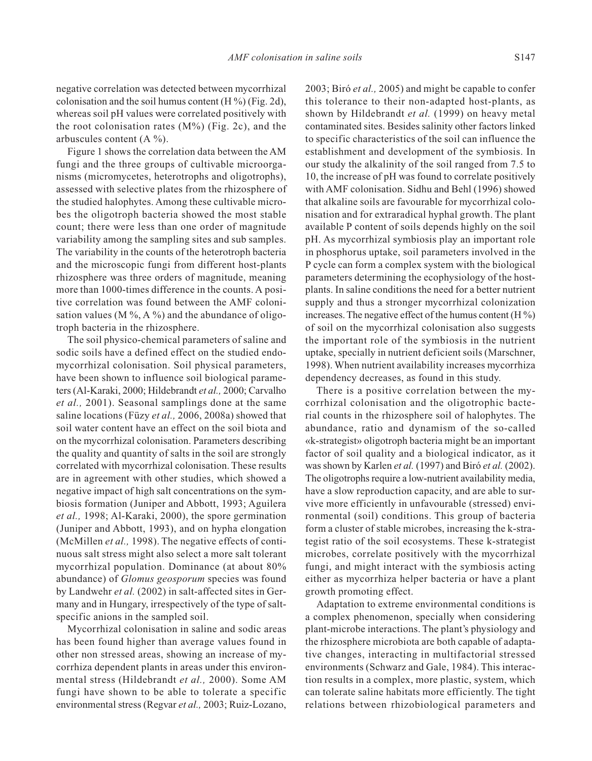negative correlation was detected between mycorrhizal colonisation and the soil humus content  $(H %)$  (Fig. 2d), whereas soil pH values were correlated positively with the root colonisation rates  $(M\%)$  (Fig. 2c), and the arbuscules content  $(A \%)$ .

Figure 1 shows the correlation data between the AM fungi and the three groups of cultivable microorganisms (micromycetes, heterotrophs and oligotrophs), assessed with selective plates from the rhizosphere of the studied halophytes. Among these cultivable microbes the oligotroph bacteria showed the most stable count; there were less than one order of magnitude variability among the sampling sites and sub samples. The variability in the counts of the heterotroph bacteria and the microscopic fungi from different host-plants rhizosphere was three orders of magnitude, meaning more than 1000-times difference in the counts. A positive correlation was found between the AMF colonisation values ( $M\%$ ,  $A\%$ ) and the abundance of oligotroph bacteria in the rhizosphere.

The soil physico-chemical parameters of saline and sodic soils have a defined effect on the studied endomycorrhizal colonisation. Soil physical parameters, have been shown to influence soil biological parameters (Al-Karaki, 2000; Hildebrandt *et al.,* 2000; Carvalho *et al.,* 2001). Seasonal samplings done at the same saline locations (Füzy *et al.,* 2006, 2008a) showed that soil water content have an effect on the soil biota and on the mycorrhizal colonisation. Parameters describing the quality and quantity of salts in the soil are strongly correlated with mycorrhizal colonisation. These results are in agreement with other studies, which showed a negative impact of high salt concentrations on the symbiosis formation (Juniper and Abbott, 1993; Aguilera *et al.,* 1998; Al-Karaki, 2000), the spore germination (Juniper and Abbott, 1993), and on hypha elongation (McMillen *et al.,* 1998). The negative effects of continuous salt stress might also select a more salt tolerant mycorrhizal population. Dominance (at about 80% abundance) of *Glomus geosporum* species was found by Landwehr *et al.* (2002) in salt-affected sites in Germany and in Hungary, irrespectively of the type of saltspecific anions in the sampled soil.

Mycorrhizal colonisation in saline and sodic areas has been found higher than average values found in other non stressed areas, showing an increase of mycorrhiza dependent plants in areas under this environmental stress (Hildebrandt *et al.,* 2000). Some AM fungi have shown to be able to tolerate a specific environmental stress (Regvar *et al.,* 2003; Ruiz-Lozano, 2003; Biró *et al.,* 2005) and might be capable to confer this tolerance to their non-adapted host-plants, as shown by Hildebrandt *et al.* (1999) on heavy metal contaminated sites. Besides salinity other factors linked to specific characteristics of the soil can influence the establishment and development of the symbiosis. In our study the alkalinity of the soil ranged from 7.5 to 10, the increase of pH was found to correlate positively with AMF colonisation. Sidhu and Behl (1996) showed that alkaline soils are favourable for mycorrhizal colonisation and for extraradical hyphal growth. The plant available P content of soils depends highly on the soil pH. As mycorrhizal symbiosis play an important role in phosphorus uptake, soil parameters involved in the P cycle can form a complex system with the biological parameters determining the ecophysiology of the hostplants. In saline conditions the need for a better nutrient supply and thus a stronger mycorrhizal colonization increases. The negative effect of the humus content  $(H \%)$ of soil on the mycorrhizal colonisation also suggests the important role of the symbiosis in the nutrient uptake, specially in nutrient deficient soils (Marschner, 1998). When nutrient availability increases mycorrhiza dependency decreases, as found in this study.

There is a positive correlation between the mycorrhizal colonisation and the oligotrophic bacterial counts in the rhizosphere soil of halophytes. The abundance, ratio and dynamism of the so-called «k-strategist» oligotroph bacteria might be an important factor of soil quality and a biological indicator, as it was shown by Karlen *et al.* (1997) and Biró *et al.* (2002). The oligotrophs require a low-nutrient availability media, have a slow reproduction capacity, and are able to survive more efficiently in unfavourable (stressed) environmental (soil) conditions. This group of bacteria form a cluster of stable microbes, increasing the k-strategist ratio of the soil ecosystems. These k-strategist microbes, correlate positively with the mycorrhizal fungi, and might interact with the symbiosis acting either as mycorrhiza helper bacteria or have a plant growth promoting effect.

Adaptation to extreme environmental conditions is a complex phenomenon, specially when considering plant-microbe interactions. The plant's physiology and the rhizosphere microbiota are both capable of adaptative changes, interacting in multifactorial stressed environments (Schwarz and Gale, 1984). This interaction results in a complex, more plastic, system, which can tolerate saline habitats more efficiently. The tight relations between rhizobiological parameters and